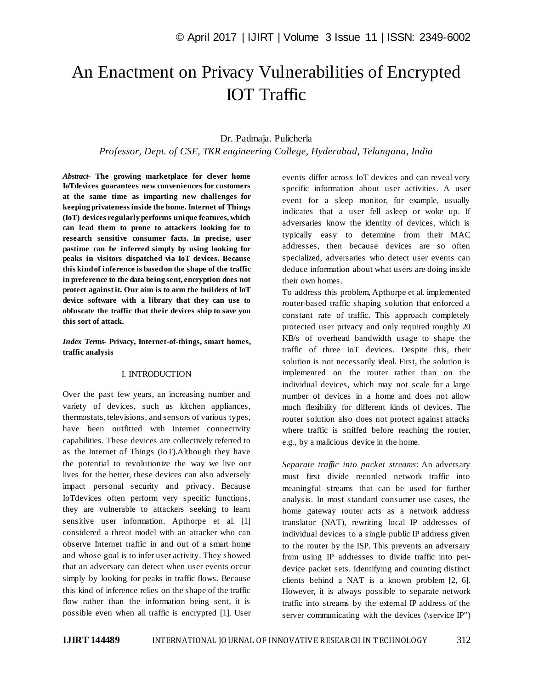# An Enactment on Privacy Vulnerabilities of Encrypted IOT Traffic

# Dr. Padmaja. Pulicherla

*Professor, Dept. of CSE, TKR engineering College, Hyderabad, Telangana, India*

*Abstract*- **The growing marketplace for clever home IoTdevices guarantees new conveniences for customers at the same time as imparting new challenges for keeping privateness inside the home. Internet of Things (IoT) devices regularly performs unique features, which can lead them to prone to attackers looking for to research sensitive consumer facts. In precise, user pastime can be inferred simply by using looking for peaks in visitors dispatched via IoT devices. Because this kind of inference is based on the shape of the traffic in preference to the data being sent, encryption does not protect against it. Our aim is to arm the builders of IoT device software with a library that they can use to obfuscate the traffic that their devices ship to save you this sort of attack.**

*Index Terms***- Privacy, Internet-of-things, smart homes, traffic analysis**

### I. INTRODUCTION

Over the past few years, an increasing number and variety of devices, such as kitchen appliances, thermostats, televisions, and sensors of various types, have been outfitted with Internet connectivity capabilities. These devices are collectively referred to as the Internet of Things (IoT).Although they have the potential to revolutionize the way we live our lives for the better, these devices can also adversely impact personal security and privacy. Because IoTdevices often perform very specific functions, they are vulnerable to attackers seeking to learn sensitive user information. Apthorpe et al. [1] considered a threat model with an attacker who can observe Internet traffic in and out of a smart home and whose goal is to infer user activity. They showed that an adversary can detect when user events occur simply by looking for peaks in traffic flows. Because this kind of inference relies on the shape of the traffic flow rather than the information being sent, it is possible even when all traffic is encrypted [1]. User

events differ across IoT devices and can reveal very specific information about user activities. A user event for a sleep monitor, for example, usually indicates that a user fell asleep or woke up. If adversaries know the identity of devices, which is typically easy to determine from their MAC addresses, then because devices are so often specialized, adversaries who detect user events can deduce information about what users are doing inside their own homes.

To address this problem, Apthorpe et al. implemented router-based traffic shaping solution that enforced a constant rate of traffic. This approach completely protected user privacy and only required roughly 20 KB/s of overhead bandwidth usage to shape the traffic of three IoT devices. Despite this, their solution is not necessarily ideal. First, the solution is implemented on the router rather than on the individual devices, which may not scale for a large number of devices in a home and does not allow much flexibility for different kinds of devices. The router solution also does not protect against attacks where traffic is sniffed before reaching the router, e.g., by a malicious device in the home.

*Separate traffic into packet streams*: An adversary must first divide recorded network traffic into meaningful streams that can be used for further analysis. In most standard consumer use cases, the home gateway router acts as a network address translator (NAT), rewriting local IP addresses of individual devices to a single public IP address given to the router by the ISP. This prevents an adversary from using IP addresses to divide traffic into perdevice packet sets. Identifying and counting distinct clients behind a NAT is a known problem [2, 6]. However, it is always possible to separate network traffic into streams by the external IP address of the server communicating with the devices (\service IP")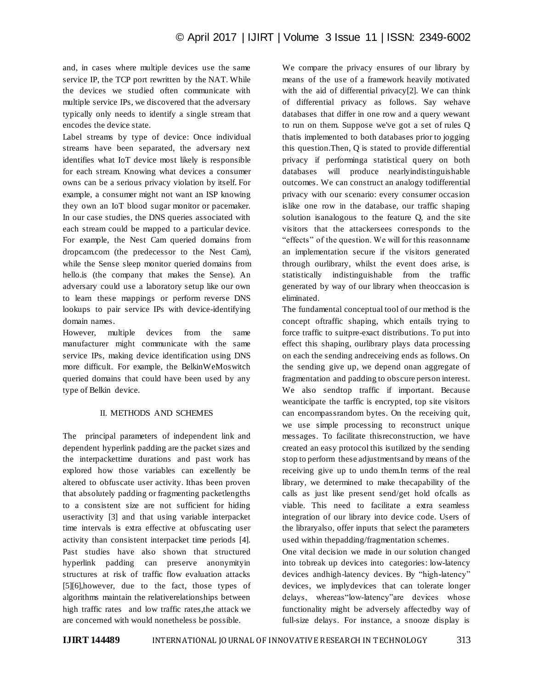and, in cases where multiple devices use the same service IP, the TCP port rewritten by the NAT. While the devices we studied often communicate with multiple service IPs, we discovered that the adversary typically only needs to identify a single stream that encodes the device state.

Label streams by type of device: Once individual streams have been separated, the adversary next identifies what IoT device most likely is responsible for each stream. Knowing what devices a consumer owns can be a serious privacy violation by itself. For example, a consumer might not want an ISP knowing they own an IoT blood sugar monitor or pacemaker. In our case studies, the DNS queries associated with each stream could be mapped to a particular device. For example, the Nest Cam queried domains from dropcam.com (the predecessor to the Nest Cam), while the Sense sleep monitor queried domains from hello.is (the company that makes the Sense). An adversary could use a laboratory setup like our own to learn these mappings or perform reverse DNS lookups to pair service IPs with device-identifying domain names.

However, multiple devices from the same manufacturer might communicate with the same service IPs, making device identification using DNS more difficult. For example, the BelkinWeMoswitch queried domains that could have been used by any type of Belkin device.

## II. METHODS AND SCHEMES

The principal parameters of independent link and dependent hyperlink padding are the packet sizes and the interpackettime durations and past work has explored how those variables can excellently be altered to obfuscate user activity. Ithas been proven that absolutely padding or fragmenting packetlengths to a consistent size are not sufficient for hiding useractivity [3] and that using variable interpacket time intervals is extra effective at obfuscating user activity than consistent interpacket time periods [4]. Past studies have also shown that structured hyperlink padding can preserve anonymityin structures at risk of traffic flow evaluation attacks [5][6],however, due to the fact, those types of algorithms maintain the relativerelationships between high traffic rates and low traffic rates,the attack we are concerned with would nonetheless be possible.

We compare the privacy ensures of our library by means of the use of a framework heavily motivated with the aid of differential privacy[2]. We can think of differential privacy as follows. Say wehave databases that differ in one row and a query wewant to run on them. Suppose we've got a set of rules Q thatis implemented to both databases prior to jogging this question.Then, Q is stated to provide differential privacy if performinga statistical query on both databases will produce nearlyindistinguishable outcomes. We can construct an analogy todifferential privacy with our scenario: every consumer occasion islike one row in the database, our traffic shaping solution isanalogous to the feature Q, and the site visitors that the attackersees corresponds to the "effects" of the question. We will for this reasonname an implementation secure if the visitors generated through ourlibrary, whilst the event does arise, is statistically indistinguishable from the traffic generated by way of our library when theoccasion is eliminated.

The fundamental conceptual tool of our method is the concept oftraffic shaping, which entails trying to force traffic to suitpre-exact distributions. To put into effect this shaping, ourlibrary plays data processing on each the sending andreceiving ends as follows. On the sending give up, we depend onan aggregate of fragmentation and padding to obscure person interest. We also sendtop traffic if important. Because weanticipate the tarffic is encrypted, top site visitors can encompassrandom bytes. On the receiving quit, we use simple processing to reconstruct unique messages. To facilitate thisreconstruction, we have created an easy protocol this isutilized by the sending stop to perform these adjustmentsand by means of the receiving give up to undo them.In terms of the real library, we determined to make thecapability of the calls as just like present send/get hold ofcalls as viable. This need to facilitate a extra seamless integration of our library into device code. Users of the libraryalso, offer inputs that select the parameters used within thepadding/fragmentation schemes.

One vital decision we made in our solution changed into tobreak up devices into categories: low-latency devices andhigh-latency devices. By "high-latency" devices, we implydevices that can tolerate longer delays, whereas"low-latency"are devices whose functionality might be adversely affectedby way of full-size delays. For instance, a snooze display is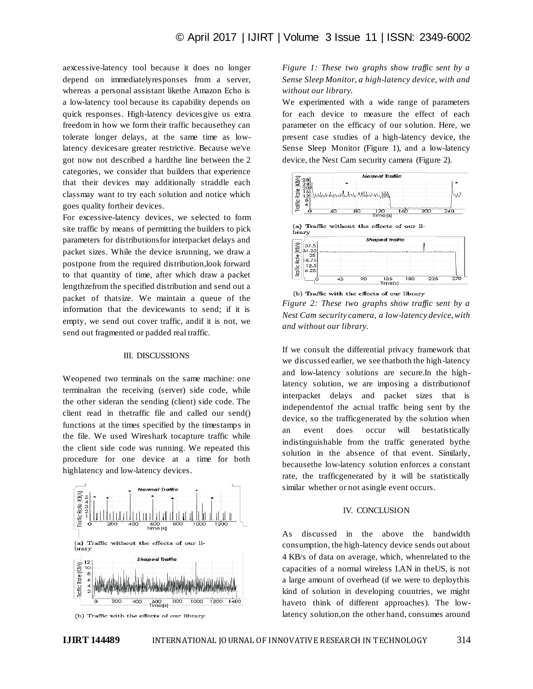aexcessive-latency tool because it does no longer depend on immediatelyresponses from a server, whereas a personal assistant likethe Amazon Echo is a low-latency tool because its capability depends on quick responses. High-latency devicesgive us extra freedom in how we form their traffic becausethey can tolerate longer delays, at the same time as lowlatency devicesare greater restrictive. Because we've got now not described a hardthe line between the 2 categories, we consider that builders that experience that their devices may additionally straddle each classmay want to try each solution and notice which goes quality fortheir devices.

For excessive-latency devices, we selected to form site traffic by means of permitting the builders to pick parameters for distributionsfor interpacket delays and packet sizes. While the device isrunning, we draw a postpone from the required distribution,look forward to that quantity of time, after which draw a packet lengthzefrom the specified distribution and send out a packet of thatsize. We maintain a queue of the information that the devicewants to send; if it is empty, we send out cover traffic, andif it is not, we send out fragmented or padded real traffic.

#### III. DISCUSSIONS

Weopened two terminals on the same machine: one terminalran the receiving (server) side code, while the other sideran the sending (client) side code. The client read in thetraffic file and called our send() functions at the times specified by the timestamps in the file. We used Wireshark tocapture traffic while the client side code was running. We repeated this procedure for one device at a time for both highlatency and low-latency devices.



(b) Traffic with the effects of our library

*Figure 1: These two graphs show traffic sent by a Sense Sleep Monitor, a high-latency device, with and without our library.*

We experimented with a wide range of parameters for each device to measure the effect of each parameter on the efficacy of our solution. Here, we present case studies of a high-latency device, the Sense Sleep Monitor (Figure 1), and a low-latency device, the Nest Cam security camera (Figure 2).



*Figure 2: These two graphs show traffic sent by a Nest Cam security camera, a low-latency device, with and without our library.*

If we consult the differential privacy framework that we discussed earlier, we see thatboth the high-latency and low-latency solutions are secure.In the highlatency solution, we are imposing a distributionof interpacket delays and packet sizes that is independentof the actual traffic being sent by the device, so the trafficgenerated by the solution when an event does occur will bestatistically indistinguishable from the traffic generated bythe solution in the absence of that event. Similarly, becausethe low-latency solution enforces a constant rate, the trafficgenerated by it will be statistically similar whether or not asingle event occurs.

#### IV. CONCLUSION

As discussed in the above the bandwidth consumption, the high-latency device sends out about 4 KB/s of data on average, which, whenrelated to the capacities of a normal wireless LAN in theUS, is not a large amount of overhead (if we were to deploythis kind of solution in developing countries, we might haveto think of different approaches). The lowlatency solution,on the other hand, consumes around